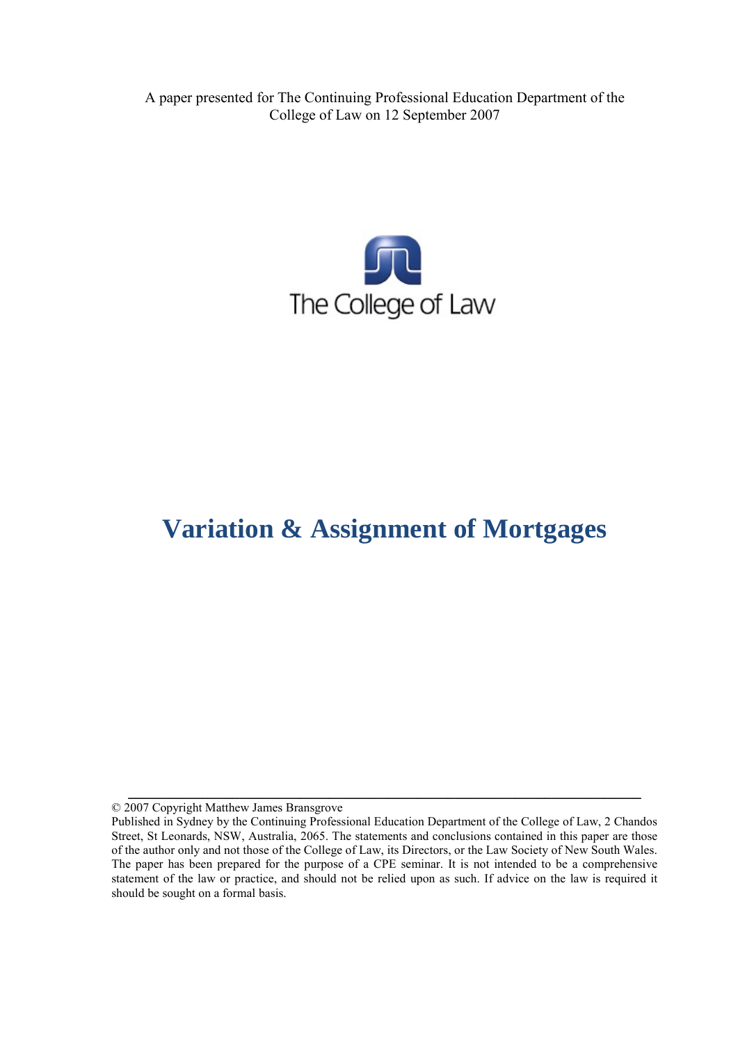A paper presented for The Continuing Professional Education Department of the College of Law on 12 September 2007



# **Variation & Assignment of Mortgages**

© 2007 Copyright Matthew James Bransgrove

**\_\_\_\_\_\_\_\_\_\_\_\_\_\_\_\_\_\_\_\_\_\_\_\_\_\_\_\_\_\_\_\_\_\_\_\_\_\_\_\_\_\_\_\_\_\_\_\_\_\_\_\_\_\_\_\_\_\_\_\_\_\_\_\_\_\_\_\_\_** 

Published in Sydney by the Continuing Professional Education Department of the College of Law, 2 Chandos Street, St Leonards, NSW, Australia, 2065. The statements and conclusions contained in this paper are those of the author only and not those of the College of Law, its Directors, or the Law Society of New South Wales. The paper has been prepared for the purpose of a CPE seminar. It is not intended to be a comprehensive statement of the law or practice, and should not be relied upon as such. If advice on the law is required it should be sought on a formal basis.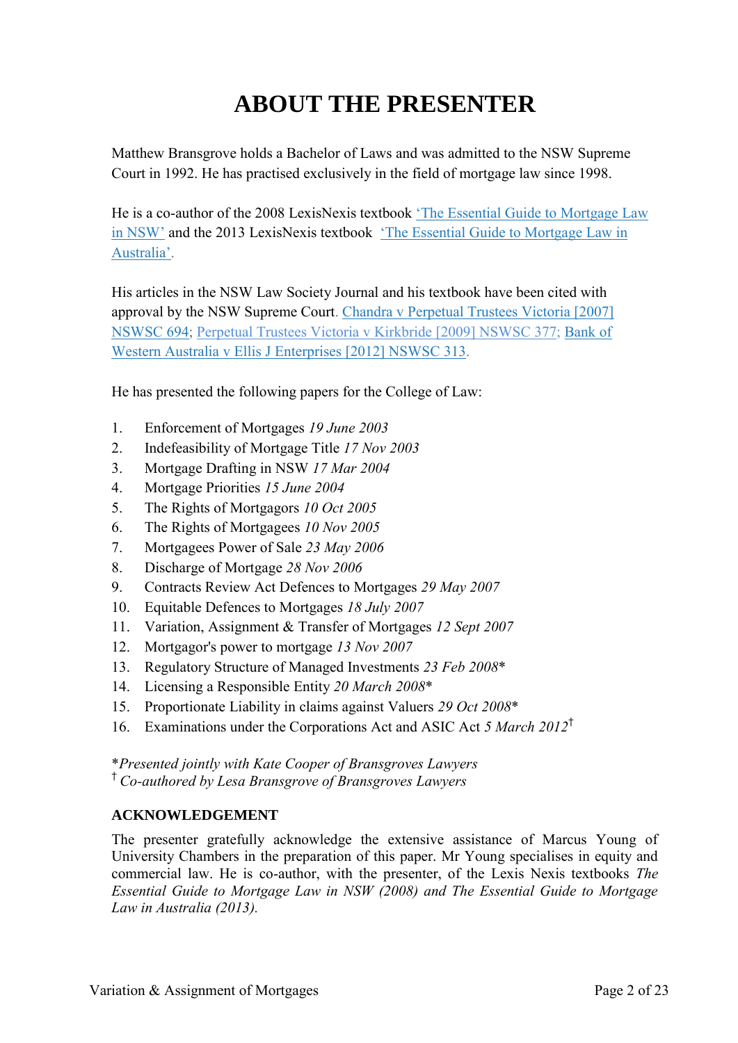# **ABOUT THE PRESENTER**

Matthew Bransgrove holds a Bachelor of Laws and was admitted to the NSW Supreme Court in 1992. He has practised exclusively in the field of mortgage law since 1998.

He is a co-author of the 2008 LexisNexis textbook ['The Essential Guide to Mortgage Law](http://www.bransgroves.com.au/documents/PDF/Book/OrderForm3LR.pdf) [in NSW'](http://www.bransgroves.com.au/documents/PDF/Book/OrderForm3LR.pdf) and the 2013 LexisNexis textbook ['The Essential Guide to Mortgage Law in](http://www.bransgroves.com.au/documents/PDF/Book/EGMLA2ndEdition.pdf) [Australia'.](http://www.bransgroves.com.au/documents/PDF/Book/EGMLA2ndEdition.pdf)

His articles in the NSW Law Society Journal and his textbook have been cited with approval by the NSW Supreme Court. [Chandra v Perpetual Trustees Victoria \[2007\]](http://www.austlii.edu.au/au/cases/nsw/NSWSC/2007/694.html) [NSWSC 694;](http://www.austlii.edu.au/au/cases/nsw/NSWSC/2007/694.html) [Perpetual Trustees Victoria v Kirkbride \[2009\] NSWSC 377;](http://www.austlii.edu.au/au/cases/nsw/NSWSC/2009/377.html) [Bank](http://www.austlii.edu.au/au/cases/nsw/NSWSC/2012/313.html) of [Western Australia v Ellis J Enterprises](http://www.austlii.edu.au/au/cases/nsw/NSWSC/2012/313.html) [2012] NSWSC 313.

He has presented the following papers for the College of Law:

- 1. Enforcement of Mortgages *19 June 2003*
- 2. Indefeasibility of Mortgage Title *17 Nov 2003*
- 3. Mortgage Drafting in NSW *17 Mar 2004*
- 4. Mortgage Priorities *15 June 2004*
- 5. The Rights of Mortgagors *10 Oct 2005*
- 6. The Rights of Mortgagees *10 Nov 2005*
- 7. Mortgagees Power of Sale *23 May 2006*
- 8. Discharge of Mortgage *28 Nov 2006*
- 9. Contracts Review Act Defences to Mortgages *29 May 2007*
- 10. Equitable Defences to Mortgages *18 July 2007*
- 11. Variation, Assignment & Transfer of Mortgages *12 Sept 2007*
- 12. Mortgagor's power to mortgage *13 Nov 2007*
- 13. Regulatory Structure of Managed Investments *23 Feb 2008*\*
- 14. Licensing a Responsible Entity *20 March 2008*\*
- 15. Proportionate Liability in claims against Valuers *29 Oct 2008*\*
- 16. Examinations under the Corporations Act and ASIC Act *5 March 2012*†

\**Presented jointly with Kate Cooper of Bransgroves Lawyers* † *Co-authored by Lesa Bransgrove of Bransgroves Lawyers*

## **ACKNOWLEDGEMENT**

The presenter gratefully acknowledge the extensive assistance of Marcus Young of University Chambers in the preparation of this paper. Mr Young specialises in equity and commercial law. He is co-author, with the presenter, of the Lexis Nexis textbooks *The Essential Guide to Mortgage Law in NSW (2008) and The Essential Guide to Mortgage Law in Australia (2013).*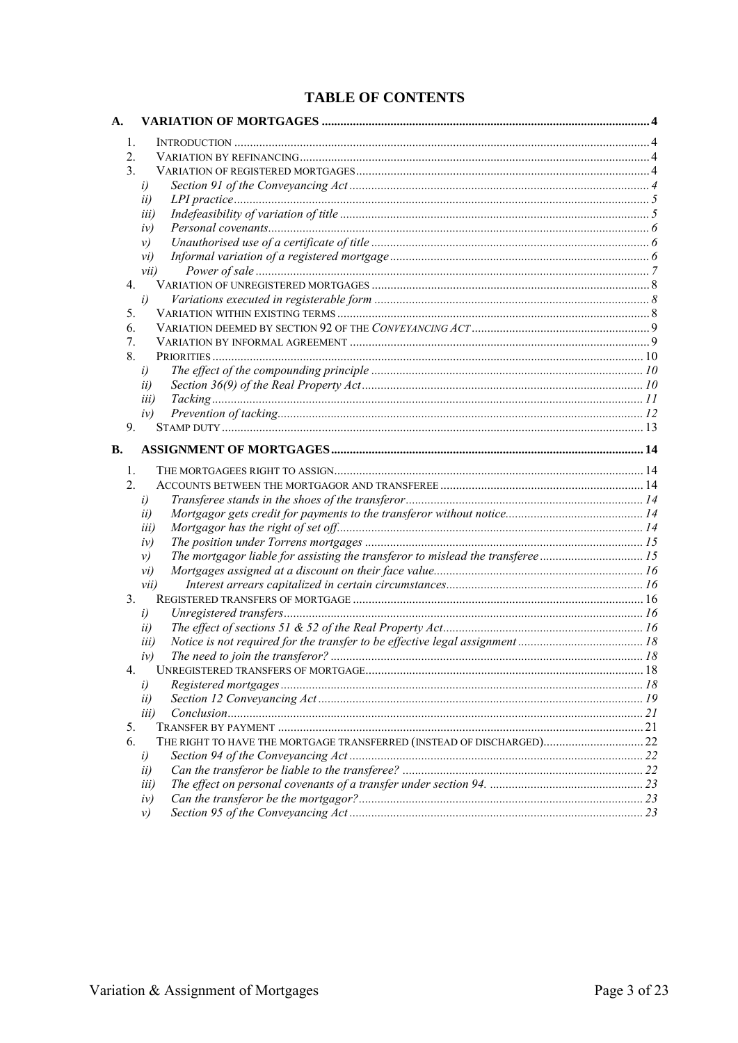## **TABLE OF CONTENTS**

| A. |                |                                                                       |      |
|----|----------------|-----------------------------------------------------------------------|------|
|    | $\mathbf{1}$ . |                                                                       |      |
|    | $2_{-}$        |                                                                       |      |
|    | 3.             |                                                                       |      |
|    | i)             |                                                                       |      |
|    | ii)            |                                                                       |      |
|    |                | iii)                                                                  |      |
|    |                | iv)                                                                   |      |
|    | $\nu$          |                                                                       |      |
|    |                | vi)                                                                   |      |
|    |                | vii)                                                                  |      |
|    | $4_{\cdot}$    |                                                                       |      |
|    | i)             |                                                                       |      |
|    | 5.             |                                                                       |      |
|    | 6.             |                                                                       |      |
|    | 7.             |                                                                       |      |
|    | 8.             |                                                                       |      |
|    | i)             |                                                                       |      |
|    | ii)            |                                                                       |      |
|    |                | <i>iii</i> )                                                          |      |
|    |                | iv)                                                                   |      |
|    | 9.             |                                                                       |      |
|    |                |                                                                       |      |
| В. |                |                                                                       |      |
|    | $\mathbf{1}$ . |                                                                       |      |
|    | 2.             |                                                                       |      |
|    | i)             |                                                                       |      |
|    | ii)            |                                                                       |      |
|    |                | <i>iii</i> )                                                          |      |
|    |                | iv)                                                                   |      |
|    | $\nu$          |                                                                       |      |
|    |                | $\mathcal{V}$ i)                                                      |      |
|    |                | vii)                                                                  |      |
|    | 3.             |                                                                       |      |
|    | i)             |                                                                       |      |
|    | ii)            |                                                                       |      |
|    |                | iii)                                                                  |      |
|    |                | iv)                                                                   |      |
|    |                | <b>LINREGISTERED TRANSFERS OF MORTGAGE.</b>                           | - 18 |
|    | i)             |                                                                       |      |
|    | ii)            |                                                                       |      |
|    |                | <i>iii</i> )                                                          |      |
|    | 5.             |                                                                       |      |
|    | 6.             | THE RIGHT TO HAVE THE MORTGAGE TRANSFERRED (INSTEAD OF DISCHARGED) 22 |      |
|    | i)             |                                                                       |      |
|    | ii)            |                                                                       |      |
|    |                | <i>iii</i> )                                                          |      |
|    |                | iv)                                                                   |      |
|    | $\nu$          |                                                                       |      |
|    |                |                                                                       |      |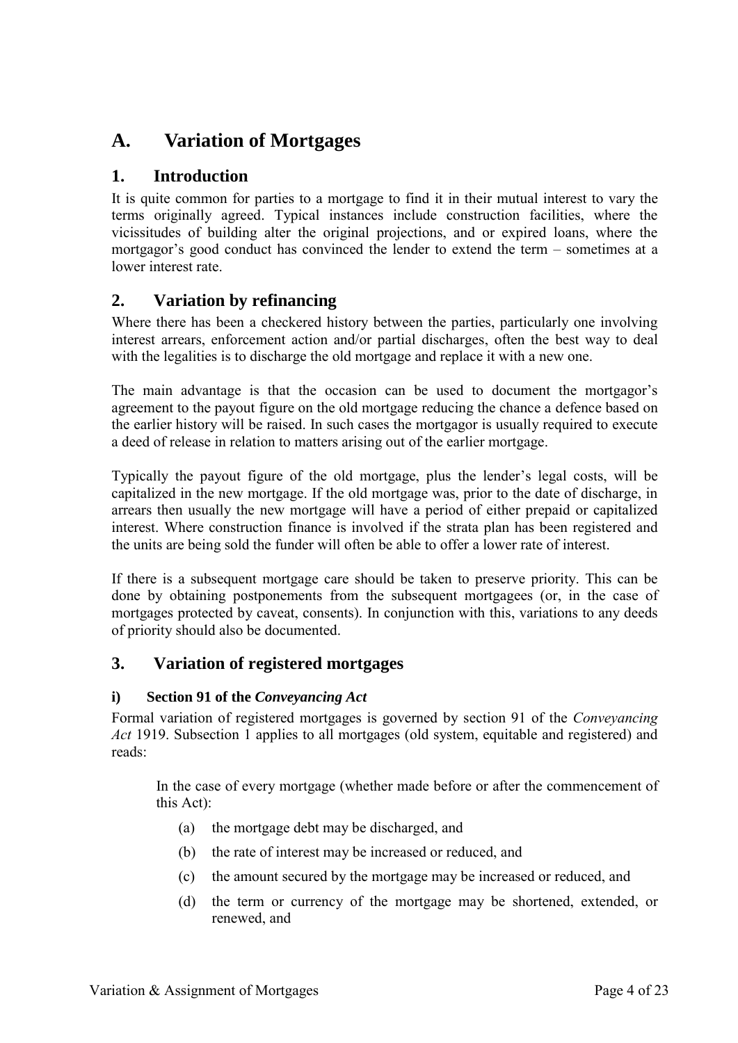## **A. Variation of Mortgages**

## **1. Introduction**

It is quite common for parties to a mortgage to find it in their mutual interest to vary the terms originally agreed. Typical instances include construction facilities, where the vicissitudes of building alter the original projections, and or expired loans, where the mortgagor's good conduct has convinced the lender to extend the term – sometimes at a lower interest rate.

## **2. Variation by refinancing**

Where there has been a checkered history between the parties, particularly one involving interest arrears, enforcement action and/or partial discharges, often the best way to deal with the legalities is to discharge the old mortgage and replace it with a new one.

The main advantage is that the occasion can be used to document the mortgagor's agreement to the payout figure on the old mortgage reducing the chance a defence based on the earlier history will be raised. In such cases the mortgagor is usually required to execute a deed of release in relation to matters arising out of the earlier mortgage.

Typically the payout figure of the old mortgage, plus the lender's legal costs, will be capitalized in the new mortgage. If the old mortgage was, prior to the date of discharge, in arrears then usually the new mortgage will have a period of either prepaid or capitalized interest. Where construction finance is involved if the strata plan has been registered and the units are being sold the funder will often be able to offer a lower rate of interest.

If there is a subsequent mortgage care should be taken to preserve priority. This can be done by obtaining postponements from the subsequent mortgagees (or, in the case of mortgages protected by caveat, consents). In conjunction with this, variations to any deeds of priority should also be documented.

## **3. Variation of registered mortgages**

## **i) Section 91 of the** *Conveyancing Act*

Formal variation of registered mortgages is governed by section 91 of the *Conveyancing Act* 1919. Subsection 1 applies to all mortgages (old system, equitable and registered) and reads:

In the case of every mortgage (whether made before or after the commencement of this Act):

- (a) the mortgage debt may be discharged, and
- (b) the rate of interest may be increased or reduced, and
- (c) the amount secured by the mortgage may be increased or reduced, and
- (d) the term or currency of the mortgage may be shortened, extended, or renewed, and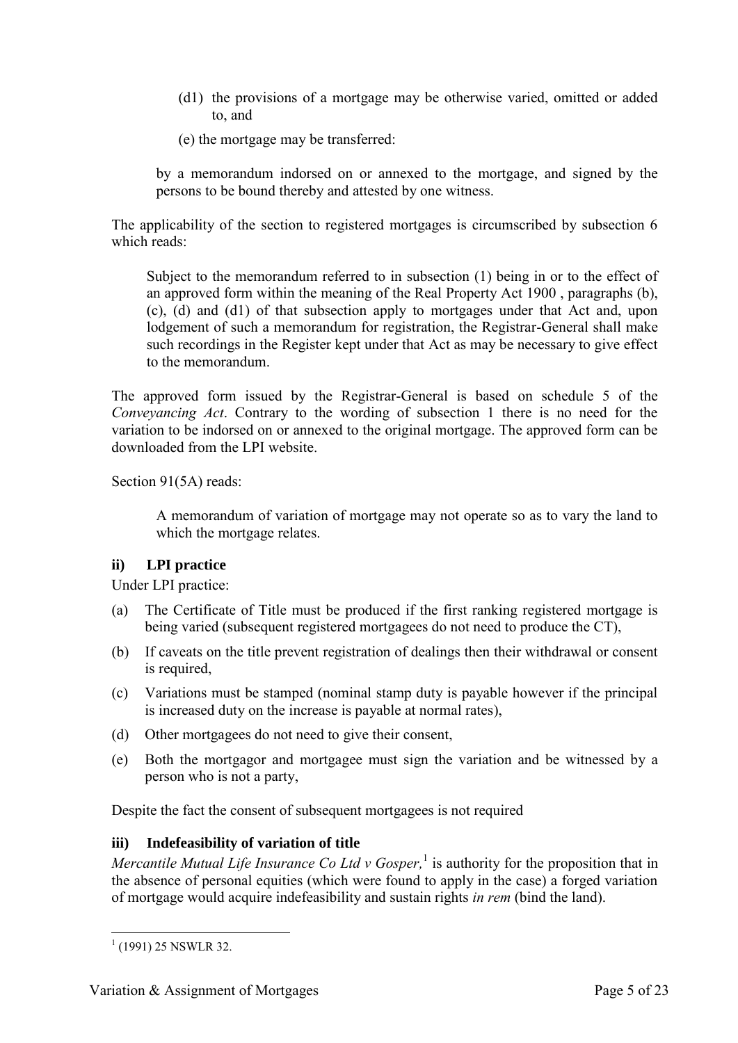- (d1) the provisions of a mortgage may be otherwise varied, omitted or added to, and
- (e) the mortgage may be transferred:

by a memorandum indorsed on or annexed to the mortgage, and signed by the persons to be bound thereby and attested by one witness.

The applicability of the section to registered mortgages is circumscribed by subsection 6 which reads:

Subject to the memorandum referred to in subsection (1) being in or to the effect of an approved form within the meaning of the Real Property Act 1900 , paragraphs (b), (c), (d) and (d1) of that subsection apply to mortgages under that Act and, upon lodgement of such a memorandum for registration, the Registrar-General shall make such recordings in the Register kept under that Act as may be necessary to give effect to the memorandum.

The approved form issued by the Registrar-General is based on schedule 5 of the *Conveyancing Act*. Contrary to the wording of subsection 1 there is no need for the variation to be indorsed on or annexed to the original mortgage. The approved form can be downloaded from the LPI website.

Section 91(5A) reads:

A memorandum of variation of mortgage may not operate so as to vary the land to which the mortgage relates.

## **ii) LPI practice**

Under LPI practice:

- (a) The Certificate of Title must be produced if the first ranking registered mortgage is being varied (subsequent registered mortgagees do not need to produce the CT),
- (b) If caveats on the title prevent registration of dealings then their withdrawal or consent is required,
- (c) Variations must be stamped (nominal stamp duty is payable however if the principal is increased duty on the increase is payable at normal rates),
- (d) Other mortgagees do not need to give their consent,
- (e) Both the mortgagor and mortgagee must sign the variation and be witnessed by a person who is not a party,

Despite the fact the consent of subsequent mortgagees is not required

## **iii) Indefeasibility of variation of title**

*Mercantile Mutual Life Insurance Co Ltd v Gosper*,<sup>1</sup> is authority for the proposition that in the absence of personal equities (which were found to apply in the case) a forged variation of mortgage would acquire indefeasibility and sustain rights *in rem* (bind the land).

<sup>-</sup> $1$  (1991) 25 NSWLR 32.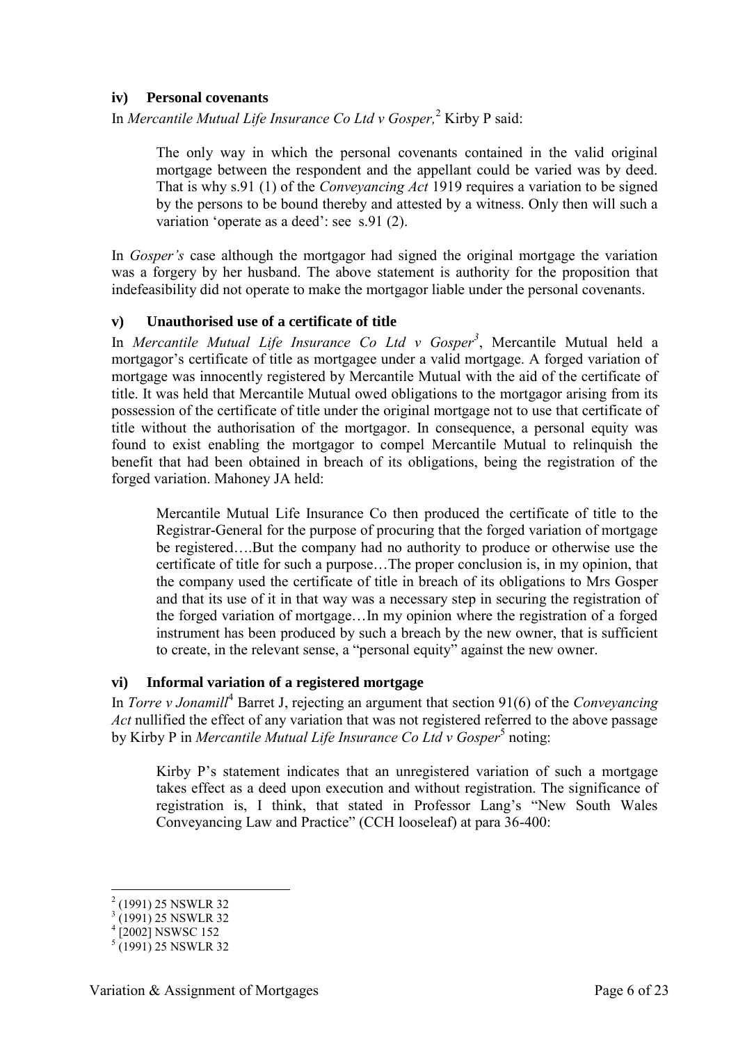#### **iv) Personal covenants**

In *Mercantile Mutual Life Insurance Co Ltd v Gosper,*<sup>2</sup> Kirby P said:

The only way in which the personal covenants contained in the valid original mortgage between the respondent and the appellant could be varied was by deed. That is why s.91 (1) of the *Conveyancing Act* 1919 requires a variation to be signed by the persons to be bound thereby and attested by a witness. Only then will such a variation 'operate as a deed': see s.91 (2).

In *Gosper's* case although the mortgagor had signed the original mortgage the variation was a forgery by her husband. The above statement is authority for the proposition that indefeasibility did not operate to make the mortgagor liable under the personal covenants.

#### **v) Unauthorised use of a certificate of title**

In *Mercantile Mutual Life Insurance Co Ltd v Gosper<sup>3</sup>* , Mercantile Mutual held a mortgagor's certificate of title as mortgagee under a valid mortgage. A forged variation of mortgage was innocently registered by Mercantile Mutual with the aid of the certificate of title. It was held that Mercantile Mutual owed obligations to the mortgagor arising from its possession of the certificate of title under the original mortgage not to use that certificate of title without the authorisation of the mortgagor. In consequence, a personal equity was found to exist enabling the mortgagor to compel Mercantile Mutual to relinquish the benefit that had been obtained in breach of its obligations, being the registration of the forged variation. Mahoney JA held:

Mercantile Mutual Life Insurance Co then produced the certificate of title to the Registrar-General for the purpose of procuring that the forged variation of mortgage be registered….But the company had no authority to produce or otherwise use the certificate of title for such a purpose…The proper conclusion is, in my opinion, that the company used the certificate of title in breach of its obligations to Mrs Gosper and that its use of it in that way was a necessary step in securing the registration of the forged variation of mortgage…In my opinion where the registration of a forged instrument has been produced by such a breach by the new owner, that is sufficient to create, in the relevant sense, a "personal equity" against the new owner.

#### **vi) Informal variation of a registered mortgage**

In *Torre v Jonamill*<sup>4</sup> Barret J, rejecting an argument that section 91(6) of the *Conveyancing Act* nullified the effect of any variation that was not registered referred to the above passage by Kirby P in *Mercantile Mutual Life Insurance Co Ltd v Gosper*<sup>5</sup> noting:

Kirby P's statement indicates that an unregistered variation of such a mortgage takes effect as a deed upon execution and without registration. The significance of registration is, I think, that stated in Professor Lang's "New South Wales Conveyancing Law and Practice" (CCH looseleaf) at para 36-400:

<sup>&</sup>lt;sup>2</sup> (1991) 25 NSWLR 32

<sup>&</sup>lt;sup>3</sup> (1991) 25 NSWLR 32<br><sup>4</sup> [2002] NSWSC 152

 $(1991)$  25 NSWLR 32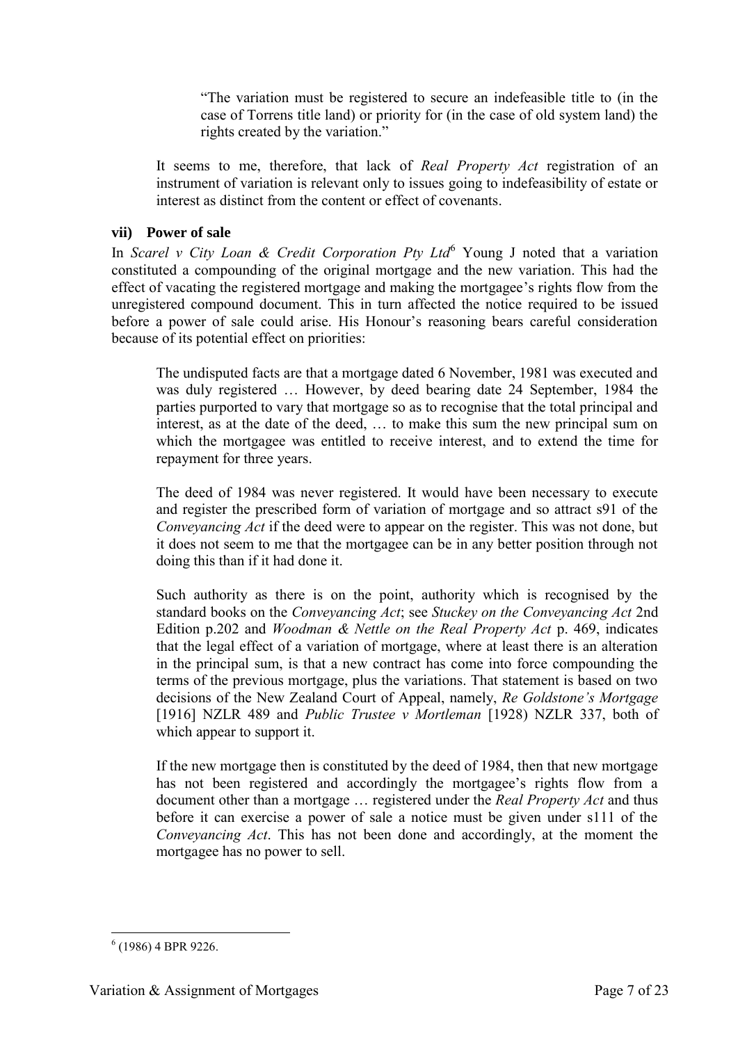"The variation must be registered to secure an indefeasible title to (in the case of Torrens title land) or priority for (in the case of old system land) the rights created by the variation."

It seems to me, therefore, that lack of *Real Property Act* registration of an instrument of variation is relevant only to issues going to indefeasibility of estate or interest as distinct from the content or effect of covenants.

#### **vii) Power of sale**

In *Scarel v City Loan & Credit Corporation Pty Ltd*<sup>6</sup> Young J noted that a variation constituted a compounding of the original mortgage and the new variation. This had the effect of vacating the registered mortgage and making the mortgagee's rights flow from the unregistered compound document. This in turn affected the notice required to be issued before a power of sale could arise. His Honour's reasoning bears careful consideration because of its potential effect on priorities:

The undisputed facts are that a mortgage dated 6 November, 1981 was executed and was duly registered … However, by deed bearing date 24 September, 1984 the parties purported to vary that mortgage so as to recognise that the total principal and interest, as at the date of the deed, … to make this sum the new principal sum on which the mortgagee was entitled to receive interest, and to extend the time for repayment for three years.

The deed of 1984 was never registered. It would have been necessary to execute and register the prescribed form of variation of mortgage and so attract s91 of the *Conveyancing Act* if the deed were to appear on the register. This was not done, but it does not seem to me that the mortgagee can be in any better position through not doing this than if it had done it.

Such authority as there is on the point, authority which is recognised by the standard books on the *Conveyancing Act*; see *Stuckey on the Conveyancing Act* 2nd Edition p.202 and *Woodman & Nettle on the Real Property Act* p. 469, indicates that the legal effect of a variation of mortgage, where at least there is an alteration in the principal sum, is that a new contract has come into force compounding the terms of the previous mortgage, plus the variations. That statement is based on two decisions of the New Zealand Court of Appeal, namely, *Re Goldstone's Mortgage* [1916] NZLR 489 and *Public Trustee v Mortleman* [1928) NZLR 337, both of which appear to support it.

If the new mortgage then is constituted by the deed of 1984, then that new mortgage has not been registered and accordingly the mortgagee's rights flow from a document other than a mortgage … registered under the *Real Property Act* and thus before it can exercise a power of sale a notice must be given under s111 of the *Conveyancing Act*. This has not been done and accordingly, at the moment the mortgagee has no power to sell.

<sup>-</sup>6 (1986) 4 BPR 9226.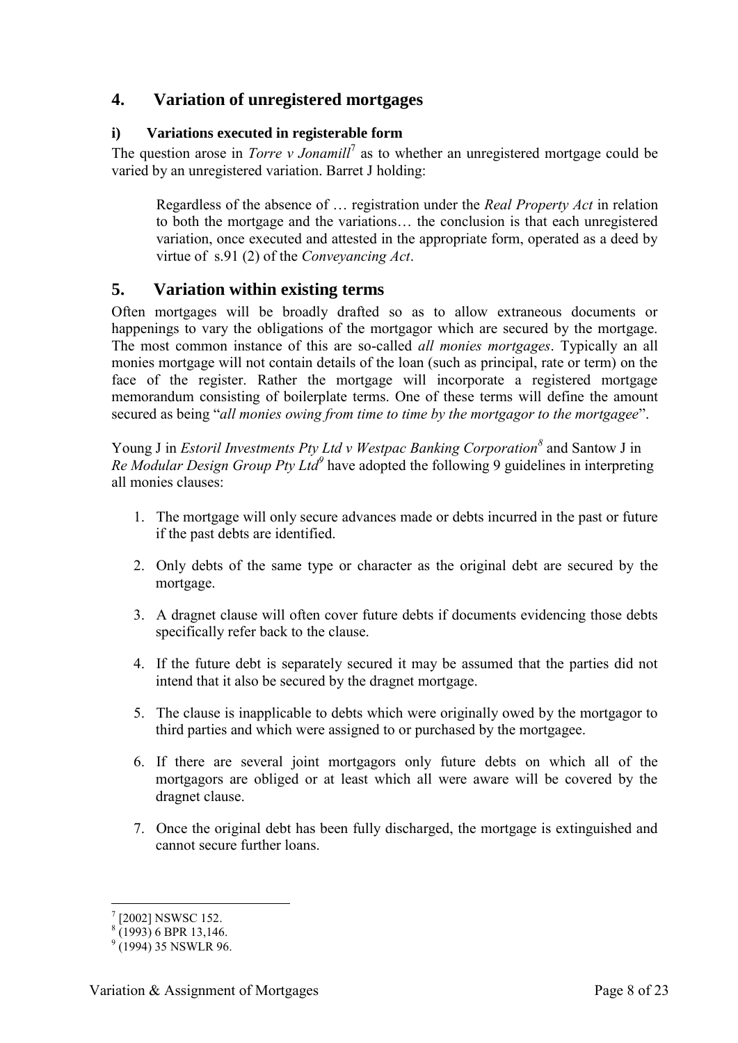## **4. Variation of unregistered mortgages**

## **i) Variations executed in registerable form**

The question arose in *Torre v Jonamill*<sup>7</sup> as to whether an unregistered mortgage could be varied by an unregistered variation. Barret J holding:

Regardless of the absence of … registration under the *Real Property Act* in relation to both the mortgage and the variations… the conclusion is that each unregistered variation, once executed and attested in the appropriate form, operated as a deed by virtue of s.91 (2) of the *Conveyancing Act*.

## **5. Variation within existing terms**

Often mortgages will be broadly drafted so as to allow extraneous documents or happenings to vary the obligations of the mortgagor which are secured by the mortgage. The most common instance of this are so-called *all monies mortgages*. Typically an all monies mortgage will not contain details of the loan (such as principal, rate or term) on the face of the register. Rather the mortgage will incorporate a registered mortgage memorandum consisting of boilerplate terms. One of these terms will define the amount secured as being "*all monies owing from time to time by the mortgagor to the mortgagee*".

Young J in *Estoril Investments Pty Ltd v Westpac Banking Corporation*<sup>8</sup> and Santow J in *Re Modular Design Group Pty Ltd<sup>9</sup>* have adopted the following 9 guidelines in interpreting all monies clauses:

- 1. The mortgage will only secure advances made or debts incurred in the past or future if the past debts are identified.
- 2. Only debts of the same type or character as the original debt are secured by the mortgage.
- 3. A dragnet clause will often cover future debts if documents evidencing those debts specifically refer back to the clause.
- 4. If the future debt is separately secured it may be assumed that the parties did not intend that it also be secured by the dragnet mortgage.
- 5. The clause is inapplicable to debts which were originally owed by the mortgagor to third parties and which were assigned to or purchased by the mortgagee.
- 6. If there are several joint mortgagors only future debts on which all of the mortgagors are obliged or at least which all were aware will be covered by the dragnet clause.
- 7. Once the original debt has been fully discharged, the mortgage is extinguished and cannot secure further loans.

<sup>-</sup>7 [2002] NSWSC 152.

 $(1993)$  6 BPR 13,146.

 $9(1994)$  35 NSWLR 96.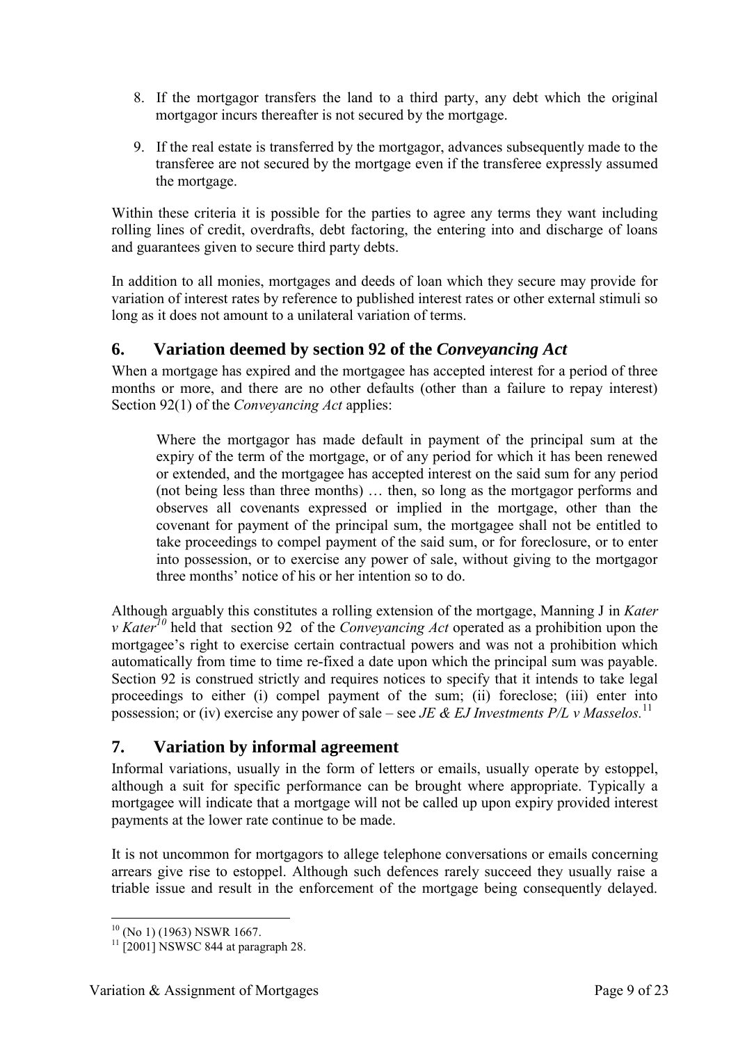- 8. If the mortgagor transfers the land to a third party, any debt which the original mortgagor incurs thereafter is not secured by the mortgage.
- 9. If the real estate is transferred by the mortgagor, advances subsequently made to the transferee are not secured by the mortgage even if the transferee expressly assumed the mortgage.

Within these criteria it is possible for the parties to agree any terms they want including rolling lines of credit, overdrafts, debt factoring, the entering into and discharge of loans and guarantees given to secure third party debts.

In addition to all monies, mortgages and deeds of loan which they secure may provide for variation of interest rates by reference to published interest rates or other external stimuli so long as it does not amount to a unilateral variation of terms.

## **6. Variation deemed by section 92 of the** *Conveyancing Act*

When a mortgage has expired and the mortgagee has accepted interest for a period of three months or more, and there are no other defaults (other than a failure to repay interest) Section 92(1) of the *Conveyancing Act* applies:

Where the mortgagor has made default in payment of the principal sum at the expiry of the term of the mortgage, or of any period for which it has been renewed or extended, and the mortgagee has accepted interest on the said sum for any period (not being less than three months) … then, so long as the mortgagor performs and observes all covenants expressed or implied in the mortgage, other than the covenant for payment of the principal sum, the mortgagee shall not be entitled to take proceedings to compel payment of the said sum, or for foreclosure, or to enter into possession, or to exercise any power of sale, without giving to the mortgagor three months' notice of his or her intention so to do.

Although arguably this constitutes a rolling extension of the mortgage, Manning J in *Kater v Kater<sup>10</sup>* held that section 92 of the *Conveyancing Act* operated as a prohibition upon the mortgagee's right to exercise certain contractual powers and was not a prohibition which automatically from time to time re-fixed a date upon which the principal sum was payable. Section 92 is construed strictly and requires notices to specify that it intends to take legal proceedings to either (i) compel payment of the sum; (ii) foreclose; (iii) enter into possession; or (iv) exercise any power of sale – see *JE & EJ Investments P/L v Masselos.* 11

## **7. Variation by informal agreement**

Informal variations, usually in the form of letters or emails, usually operate by estoppel, although a suit for specific performance can be brought where appropriate. Typically a mortgagee will indicate that a mortgage will not be called up upon expiry provided interest payments at the lower rate continue to be made.

It is not uncommon for mortgagors to allege telephone conversations or emails concerning arrears give rise to estoppel. Although such defences rarely succeed they usually raise a triable issue and result in the enforcement of the mortgage being consequently delayed.

<sup>-</sup> $10$  (No 1) (1963) NSWR 1667.

 $11$   $\sqrt{2001}$  NSWSC 844 at paragraph 28.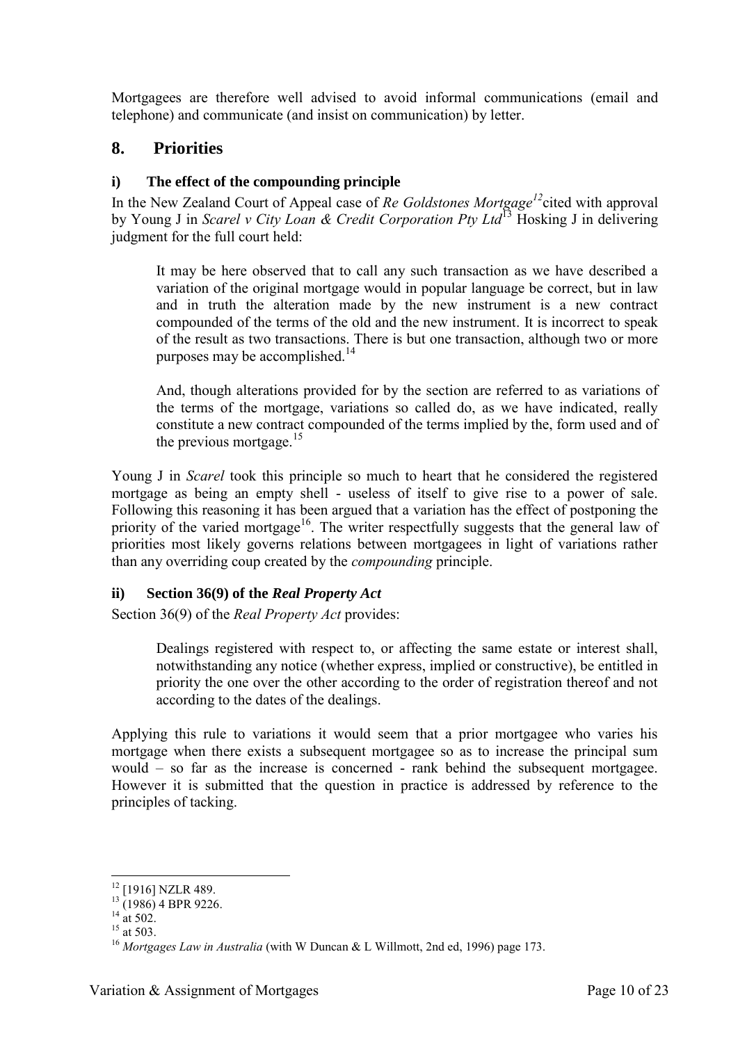Mortgagees are therefore well advised to avoid informal communications (email and telephone) and communicate (and insist on communication) by letter.

## **8. Priorities**

## **i) The effect of the compounding principle**

In the New Zealand Court of Appeal case of *Re Goldstones Mortgage<sup>12</sup>*cited with approval by Young J in *Scarel v City Loan & Credit Corporation Pty Ltd*<sup>13</sup> Hosking J in delivering judgment for the full court held:

It may be here observed that to call any such transaction as we have described a variation of the original mortgage would in popular language be correct, but in law and in truth the alteration made by the new instrument is a new contract compounded of the terms of the old and the new instrument. It is incorrect to speak of the result as two transactions. There is but one transaction, although two or more purposes may be accomplished.<sup>14</sup>

And, though alterations provided for by the section are referred to as variations of the terms of the mortgage, variations so called do, as we have indicated, really constitute a new contract compounded of the terms implied by the, form used and of the previous mortgage. $15$ 

Young J in *Scarel* took this principle so much to heart that he considered the registered mortgage as being an empty shell - useless of itself to give rise to a power of sale. Following this reasoning it has been argued that a variation has the effect of postponing the priority of the varied mortgage<sup>16</sup>. The writer respectfully suggests that the general law of priorities most likely governs relations between mortgagees in light of variations rather than any overriding coup created by the *compounding* principle.

## **ii) Section 36(9) of the** *Real Property Act*

Section 36(9) of the *Real Property Act* provides:

Dealings registered with respect to, or affecting the same estate or interest shall, notwithstanding any notice (whether express, implied or constructive), be entitled in priority the one over the other according to the order of registration thereof and not according to the dates of the dealings.

Applying this rule to variations it would seem that a prior mortgagee who varies his mortgage when there exists a subsequent mortgagee so as to increase the principal sum would – so far as the increase is concerned - rank behind the subsequent mortgagee. However it is submitted that the question in practice is addressed by reference to the principles of tacking.

<sup>-</sup><sup>12</sup> [1916] NZLR 489.

 $13(1986)$  4 BPR 9226.

 $^{14}$  at 502.

 $15 \frac{\text{m}}{\text{at}} 503.$ 

<sup>&</sup>lt;sup>16</sup> Mortgages Law in Australia (with W Duncan & L Willmott, 2nd ed, 1996) page 173.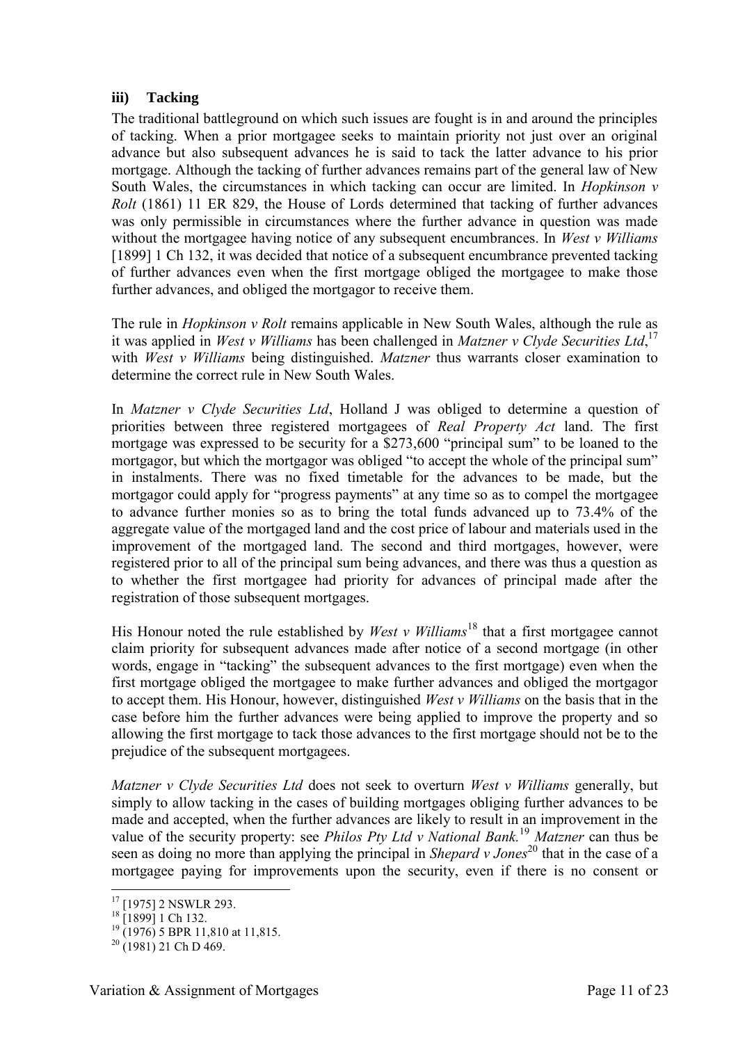#### **iii) Tacking**

The traditional battleground on which such issues are fought is in and around the principles of tacking. When a prior mortgagee seeks to maintain priority not just over an original advance but also subsequent advances he is said to tack the latter advance to his prior mortgage. Although the tacking of further advances remains part of the general law of New South Wales, the circumstances in which tacking can occur are limited. In *Hopkinson v Rolt* (1861) 11 ER 829, the House of Lords determined that tacking of further advances was only permissible in circumstances where the further advance in question was made without the mortgagee having notice of any subsequent encumbrances. In *West v Williams* [1899] 1 Ch 132, it was decided that notice of a subsequent encumbrance prevented tacking of further advances even when the first mortgage obliged the mortgagee to make those further advances, and obliged the mortgagor to receive them.

The rule in *Hopkinson v Rolt* remains applicable in New South Wales, although the rule as it was applied in *West v Williams* has been challenged in *Matzner v Clyde Securities Ltd*, 17 with *West v Williams* being distinguished. *Matzner* thus warrants closer examination to determine the correct rule in New South Wales.

In *Matzner v Clyde Securities Ltd*, Holland J was obliged to determine a question of priorities between three registered mortgagees of *Real Property Act* land. The first mortgage was expressed to be security for a \$273,600 "principal sum" to be loaned to the mortgagor, but which the mortgagor was obliged "to accept the whole of the principal sum" in instalments. There was no fixed timetable for the advances to be made, but the mortgagor could apply for "progress payments" at any time so as to compel the mortgagee to advance further monies so as to bring the total funds advanced up to 73.4% of the aggregate value of the mortgaged land and the cost price of labour and materials used in the improvement of the mortgaged land. The second and third mortgages, however, were registered prior to all of the principal sum being advances, and there was thus a question as to whether the first mortgagee had priority for advances of principal made after the registration of those subsequent mortgages.

His Honour noted the rule established by *West v Williams*<sup>18</sup> that a first mortgagee cannot claim priority for subsequent advances made after notice of a second mortgage (in other words, engage in "tacking" the subsequent advances to the first mortgage) even when the first mortgage obliged the mortgagee to make further advances and obliged the mortgagor to accept them. His Honour, however, distinguished *West v Williams* on the basis that in the case before him the further advances were being applied to improve the property and so allowing the first mortgage to tack those advances to the first mortgage should not be to the prejudice of the subsequent mortgagees.

*Matzner v Clyde Securities Ltd* does not seek to overturn *West v Williams* generally, but simply to allow tacking in the cases of building mortgages obliging further advances to be made and accepted, when the further advances are likely to result in an improvement in the value of the security property: see *Philos Pty Ltd v National Bank.*<sup>19</sup> *Matzner* can thus be seen as doing no more than applying the principal in *Shepard v Jones*<sup>20</sup> that in the case of a mortgagee paying for improvements upon the security, even if there is no consent or

<sup>&</sup>lt;sup>17</sup> [1975] 2 NSWLR 293.

 $18$  [1899] 1 Ch 132.

 $^{19}$  (1976) 5 BPR 11,810 at 11,815.

 $^{20}$  (1981) 21 Ch D 469.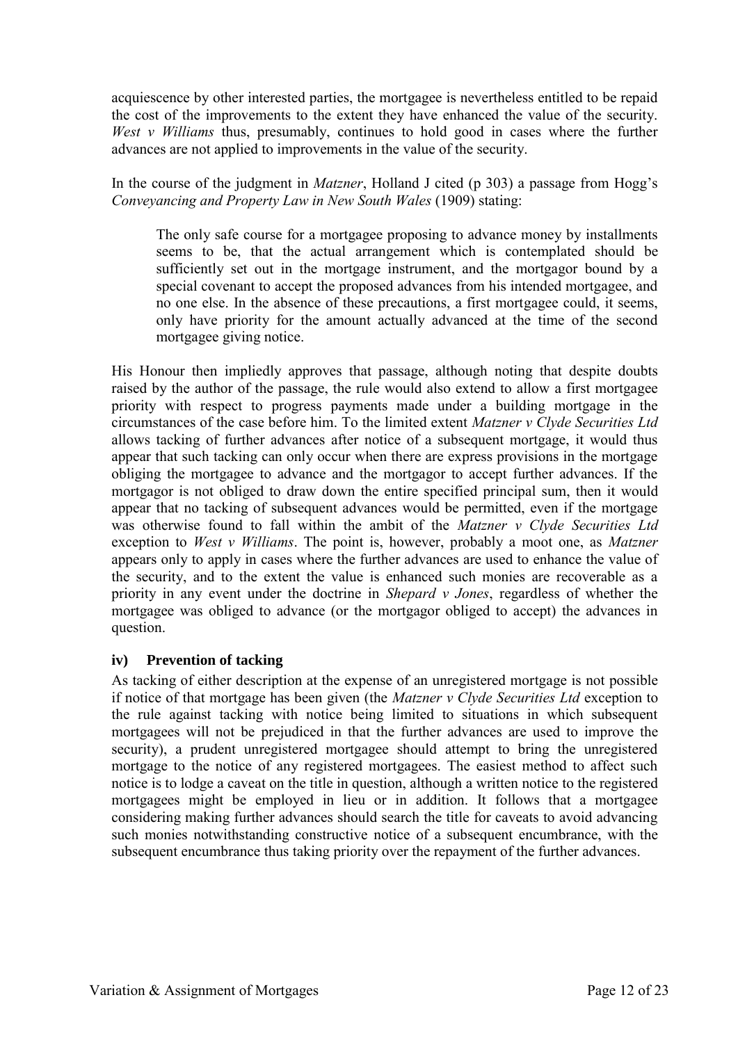acquiescence by other interested parties, the mortgagee is nevertheless entitled to be repaid the cost of the improvements to the extent they have enhanced the value of the security. *West v Williams* thus, presumably, continues to hold good in cases where the further advances are not applied to improvements in the value of the security.

In the course of the judgment in *Matzner*, Holland J cited (p 303) a passage from Hogg's *Conveyancing and Property Law in New South Wales* (1909) stating:

The only safe course for a mortgagee proposing to advance money by installments seems to be, that the actual arrangement which is contemplated should be sufficiently set out in the mortgage instrument, and the mortgagor bound by a special covenant to accept the proposed advances from his intended mortgagee, and no one else. In the absence of these precautions, a first mortgagee could, it seems, only have priority for the amount actually advanced at the time of the second mortgagee giving notice.

His Honour then impliedly approves that passage, although noting that despite doubts raised by the author of the passage, the rule would also extend to allow a first mortgagee priority with respect to progress payments made under a building mortgage in the circumstances of the case before him. To the limited extent *Matzner v Clyde Securities Ltd* allows tacking of further advances after notice of a subsequent mortgage, it would thus appear that such tacking can only occur when there are express provisions in the mortgage obliging the mortgagee to advance and the mortgagor to accept further advances. If the mortgagor is not obliged to draw down the entire specified principal sum, then it would appear that no tacking of subsequent advances would be permitted, even if the mortgage was otherwise found to fall within the ambit of the *Matzner v Clyde Securities Ltd* exception to *West v Williams*. The point is, however, probably a moot one, as *Matzner*  appears only to apply in cases where the further advances are used to enhance the value of the security, and to the extent the value is enhanced such monies are recoverable as a priority in any event under the doctrine in *Shepard v Jones*, regardless of whether the mortgagee was obliged to advance (or the mortgagor obliged to accept) the advances in question.

## **iv) Prevention of tacking**

As tacking of either description at the expense of an unregistered mortgage is not possible if notice of that mortgage has been given (the *Matzner v Clyde Securities Ltd* exception to the rule against tacking with notice being limited to situations in which subsequent mortgagees will not be prejudiced in that the further advances are used to improve the security), a prudent unregistered mortgagee should attempt to bring the unregistered mortgage to the notice of any registered mortgagees. The easiest method to affect such notice is to lodge a caveat on the title in question, although a written notice to the registered mortgagees might be employed in lieu or in addition. It follows that a mortgagee considering making further advances should search the title for caveats to avoid advancing such monies notwithstanding constructive notice of a subsequent encumbrance, with the subsequent encumbrance thus taking priority over the repayment of the further advances.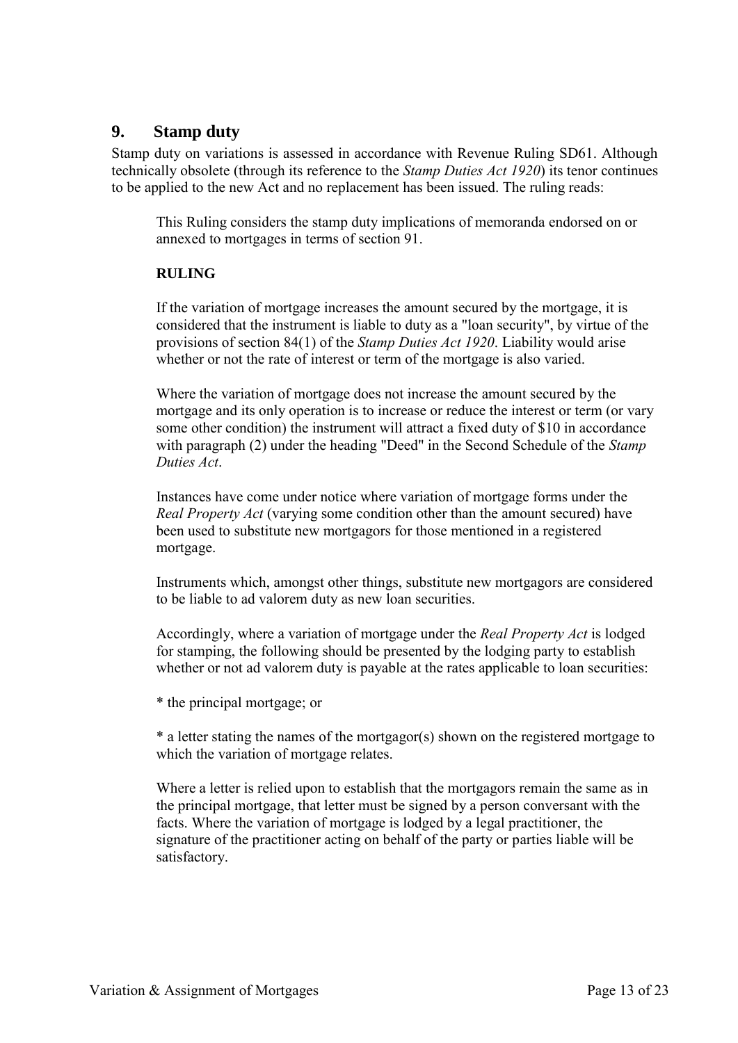## **9. Stamp duty**

Stamp duty on variations is assessed in accordance with Revenue Ruling SD61. Although technically obsolete (through its reference to the *Stamp Duties Act 1920*) its tenor continues to be applied to the new Act and no replacement has been issued. The ruling reads:

This Ruling considers the stamp duty implications of memoranda endorsed on or annexed to mortgages in terms of section 91.

## **RULING**

If the variation of mortgage increases the amount secured by the mortgage, it is considered that the instrument is liable to duty as a "loan security", by virtue of the provisions of section 84(1) of the *Stamp Duties Act 1920*. Liability would arise whether or not the rate of interest or term of the mortgage is also varied.

Where the variation of mortgage does not increase the amount secured by the mortgage and its only operation is to increase or reduce the interest or term (or vary some other condition) the instrument will attract a fixed duty of \$10 in accordance with paragraph (2) under the heading "Deed" in the Second Schedule of the *Stamp Duties Act*.

Instances have come under notice where variation of mortgage forms under the *Real Property Act* (varying some condition other than the amount secured) have been used to substitute new mortgagors for those mentioned in a registered mortgage.

Instruments which, amongst other things, substitute new mortgagors are considered to be liable to ad valorem duty as new loan securities.

Accordingly, where a variation of mortgage under the *Real Property Act* is lodged for stamping, the following should be presented by the lodging party to establish whether or not ad valorem duty is payable at the rates applicable to loan securities:

\* the principal mortgage; or

\* a letter stating the names of the mortgagor(s) shown on the registered mortgage to which the variation of mortgage relates.

Where a letter is relied upon to establish that the mortgagors remain the same as in the principal mortgage, that letter must be signed by a person conversant with the facts. Where the variation of mortgage is lodged by a legal practitioner, the signature of the practitioner acting on behalf of the party or parties liable will be satisfactory.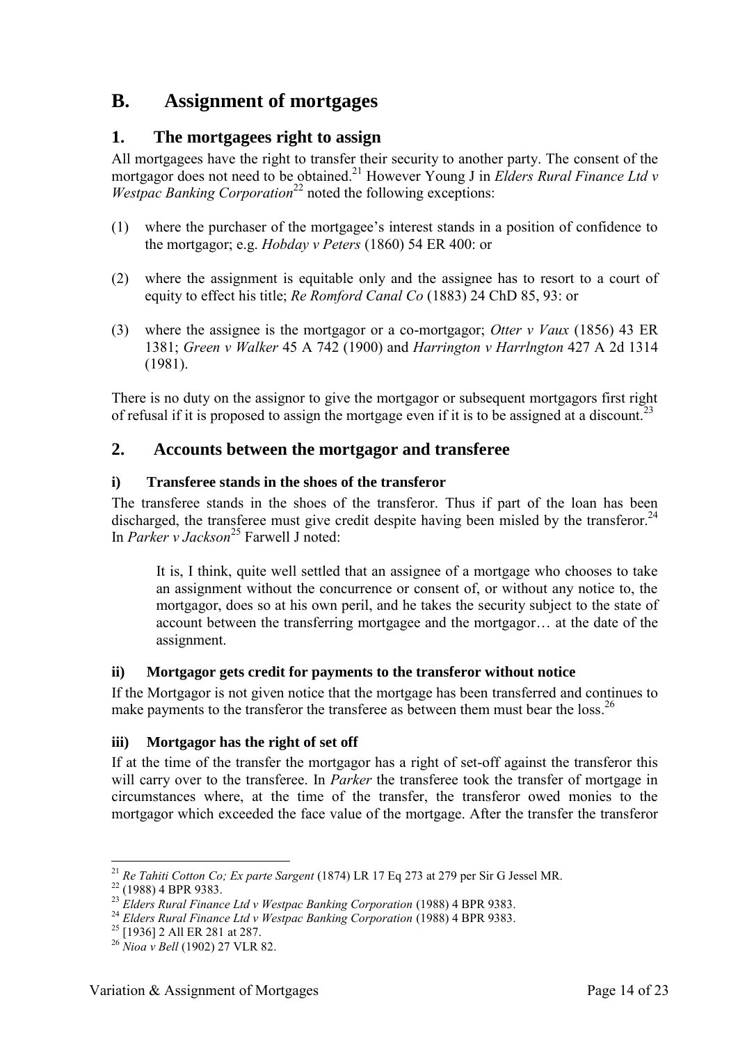## **B. Assignment of mortgages**

## **1. The mortgagees right to assign**

All mortgagees have the right to transfer their security to another party. The consent of the mortgagor does not need to be obtained.<sup>21</sup> However Young J in *Elders Rural Finance Ltd v Westpac Banking Corporation*<sup>22</sup> noted the following exceptions:

- (1) where the purchaser of the mortgagee's interest stands in a position of confidence to the mortgagor; e.g. *Hobday v Peters* (1860) 54 ER 400: or
- (2) where the assignment is equitable only and the assignee has to resort to a court of equity to effect his title; *Re Romford Canal Co* (1883) 24 ChD 85, 93: or
- (3) where the assignee is the mortgagor or a co-mortgagor; *Otter v Vaux* (1856) 43 ER 1381; *Green v Walker* 45 A 742 (1900) and *Harrington v Harrlngton* 427 A 2d 1314 (1981).

There is no duty on the assignor to give the mortgagor or subsequent mortgagors first right of refusal if it is proposed to assign the mortgage even if it is to be assigned at a discount.<sup>23</sup>

## **2. Accounts between the mortgagor and transferee**

## **i) Transferee stands in the shoes of the transferor**

The transferee stands in the shoes of the transferor. Thus if part of the loan has been discharged, the transferee must give credit despite having been misled by the transferor.<sup>24</sup> In *Parker v Jackson*<sup>25</sup> Farwell J noted:

It is, I think, quite well settled that an assignee of a mortgage who chooses to take an assignment without the concurrence or consent of, or without any notice to, the mortgagor, does so at his own peril, and he takes the security subject to the state of account between the transferring mortgagee and the mortgagor… at the date of the assignment.

## **ii) Mortgagor gets credit for payments to the transferor without notice**

If the Mortgagor is not given notice that the mortgage has been transferred and continues to make payments to the transferor the transferee as between them must bear the loss.<sup>26</sup>

## **iii) Mortgagor has the right of set off**

If at the time of the transfer the mortgagor has a right of set-off against the transferor this will carry over to the transferee. In *Parker* the transferee took the transfer of mortgage in circumstances where, at the time of the transfer, the transferor owed monies to the mortgagor which exceeded the face value of the mortgage. After the transfer the transferor

<sup>&</sup>lt;u>.</u> <sup>21</sup> *Re Tahiti Cotton Co; Ex parte Sargent* (1874) LR 17 Eq 273 at 279 per Sir G Jessel MR.

<sup>&</sup>lt;sup>22</sup> (1988) 4 BPR 9383.

<sup>23</sup> *Elders Rural Finance Ltd v Westpac Banking Corporation* (1988) 4 BPR 9383.

<sup>24</sup> *Elders Rural Finance Ltd v Westpac Banking Corporation* (1988) 4 BPR 9383.

<sup>25</sup> [1936] 2 All ER 281 at 287.

<sup>26</sup> *Nioa v Bell* (1902) 27 VLR 82.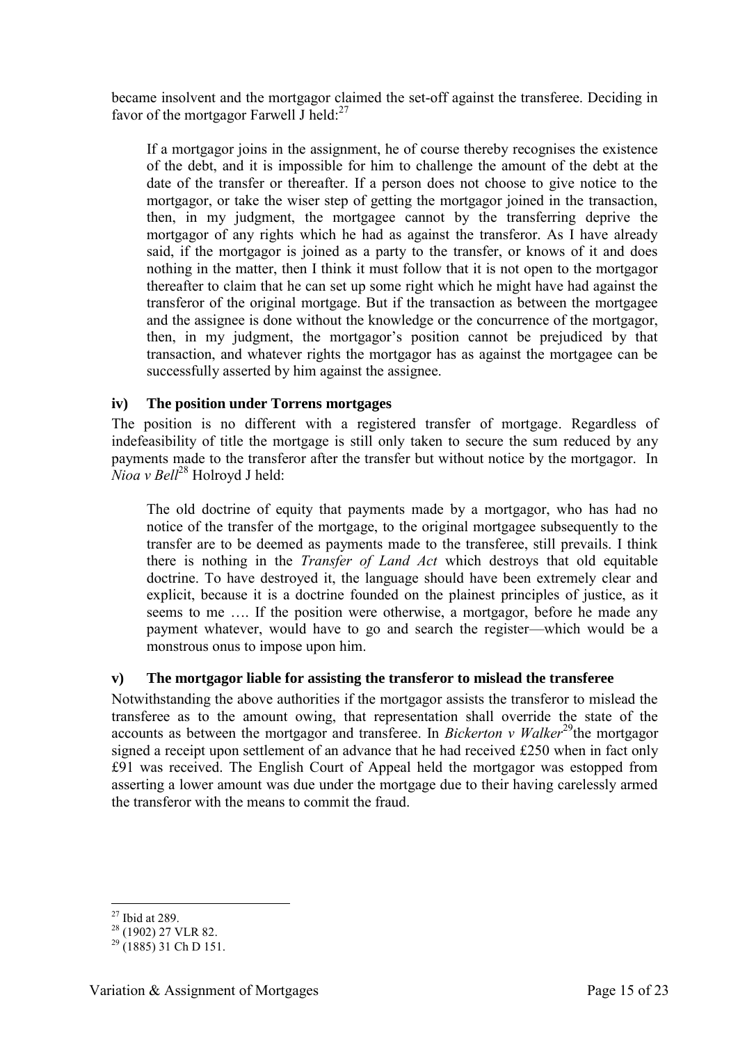became insolvent and the mortgagor claimed the set-off against the transferee. Deciding in favor of the mortgagor Farwell J held: $^{27}$ 

If a mortgagor joins in the assignment, he of course thereby recognises the existence of the debt, and it is impossible for him to challenge the amount of the debt at the date of the transfer or thereafter. If a person does not choose to give notice to the mortgagor, or take the wiser step of getting the mortgagor joined in the transaction, then, in my judgment, the mortgagee cannot by the transferring deprive the mortgagor of any rights which he had as against the transferor. As I have already said, if the mortgagor is joined as a party to the transfer, or knows of it and does nothing in the matter, then I think it must follow that it is not open to the mortgagor thereafter to claim that he can set up some right which he might have had against the transferor of the original mortgage. But if the transaction as between the mortgagee and the assignee is done without the knowledge or the concurrence of the mortgagor, then, in my judgment, the mortgagor's position cannot be prejudiced by that transaction, and whatever rights the mortgagor has as against the mortgagee can be successfully asserted by him against the assignee.

## **iv) The position under Torrens mortgages**

The position is no different with a registered transfer of mortgage. Regardless of indefeasibility of title the mortgage is still only taken to secure the sum reduced by any payments made to the transferor after the transfer but without notice by the mortgagor. In *Nioa v Bell*<sup>28</sup> Holroyd J held:

The old doctrine of equity that payments made by a mortgagor, who has had no notice of the transfer of the mortgage, to the original mortgagee subsequently to the transfer are to be deemed as payments made to the transferee, still prevails. I think there is nothing in the *Transfer of Land Act* which destroys that old equitable doctrine. To have destroyed it, the language should have been extremely clear and explicit, because it is a doctrine founded on the plainest principles of justice, as it seems to me …. If the position were otherwise, a mortgagor, before he made any payment whatever, would have to go and search the register—which would be a monstrous onus to impose upon him.

#### **v) The mortgagor liable for assisting the transferor to mislead the transferee**

Notwithstanding the above authorities if the mortgagor assists the transferor to mislead the transferee as to the amount owing, that representation shall override the state of the accounts as between the mortgagor and transferee. In *Bickerton v Walker*<sup>29</sup>the mortgagor signed a receipt upon settlement of an advance that he had received £250 when in fact only £91 was received. The English Court of Appeal held the mortgagor was estopped from asserting a lower amount was due under the mortgage due to their having carelessly armed the transferor with the means to commit the fraud.

<sup>-</sup> $27$  Ibid at 289.

 $28$  (1902) 27 VLR 82.

 $^{29}$  (1885) 31 Ch D 151.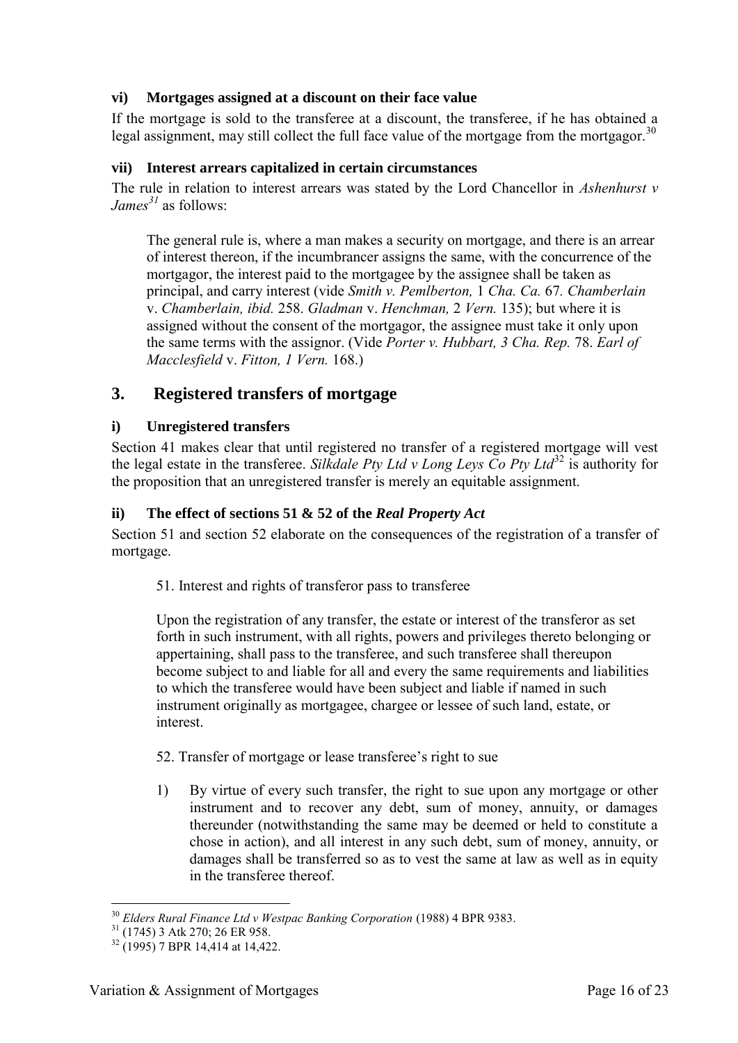## **vi) Mortgages assigned at a discount on their face value**

If the mortgage is sold to the transferee at a discount, the transferee, if he has obtained a legal assignment, may still collect the full face value of the mortgage from the mortgagor.<sup>30</sup>

#### **vii) Interest arrears capitalized in certain circumstances**

The rule in relation to interest arrears was stated by the Lord Chancellor in *Ashenhurst v James<sup>31</sup>* as follows:

The general rule is, where a man makes a security on mortgage, and there is an arrear of interest thereon, if the incumbrancer assigns the same, with the concurrence of the mortgagor, the interest paid to the mortgagee by the assignee shall be taken as principal, and carry interest (vide *Smith v. Pemlberton,* 1 *Cha. Ca.* 67*. Chamberlain* v. *Chamberlain, ibid.* 258. *Gladman* v. *Henchman,* 2 *Vern.* 135); but where it is assigned without the consent of the mortgagor, the assignee must take it only upon the same terms with the assignor. (Vide *Porter v. Hubbart, 3 Cha. Rep.* 78. *Earl of Macclesfield* v. *Fitton, 1 Vern.* 168.)

## **3. Registered transfers of mortgage**

## **i) Unregistered transfers**

Section 41 makes clear that until registered no transfer of a registered mortgage will vest the legal estate in the transferee. *Silkdale Pty Ltd v Long Leys Co Pty Ltd*<sup>32</sup> is authority for the proposition that an unregistered transfer is merely an equitable assignment.

## **ii) The effect of sections 51 & 52 of the** *Real Property Act*

Section 51 and section 52 elaborate on the consequences of the registration of a transfer of mortgage.

51. Interest and rights of transferor pass to transferee

Upon the registration of any transfer, the estate or interest of the transferor as set forth in such instrument, with all rights, powers and privileges thereto belonging or appertaining, shall pass to the transferee, and such transferee shall thereupon become subject to and liable for all and every the same requirements and liabilities to which the transferee would have been subject and liable if named in such instrument originally as mortgagee, chargee or lessee of such land, estate, or interest.

## 52. Transfer of mortgage or lease transferee's right to sue

1) By virtue of every such transfer, the right to sue upon any mortgage or other instrument and to recover any debt, sum of money, annuity, or damages thereunder (notwithstanding the same may be deemed or held to constitute a chose in action), and all interest in any such debt, sum of money, annuity, or damages shall be transferred so as to vest the same at law as well as in equity in the transferee thereof.

<sup>-</sup><sup>30</sup> *Elders Rural Finance Ltd v Westpac Banking Corporation* (1988) 4 BPR 9383.

<sup>&</sup>lt;sup>31</sup> (1745) 3 Atk 270; 26 ER 958.

 $32(1995)$  7 BPR 14.414 at 14.422.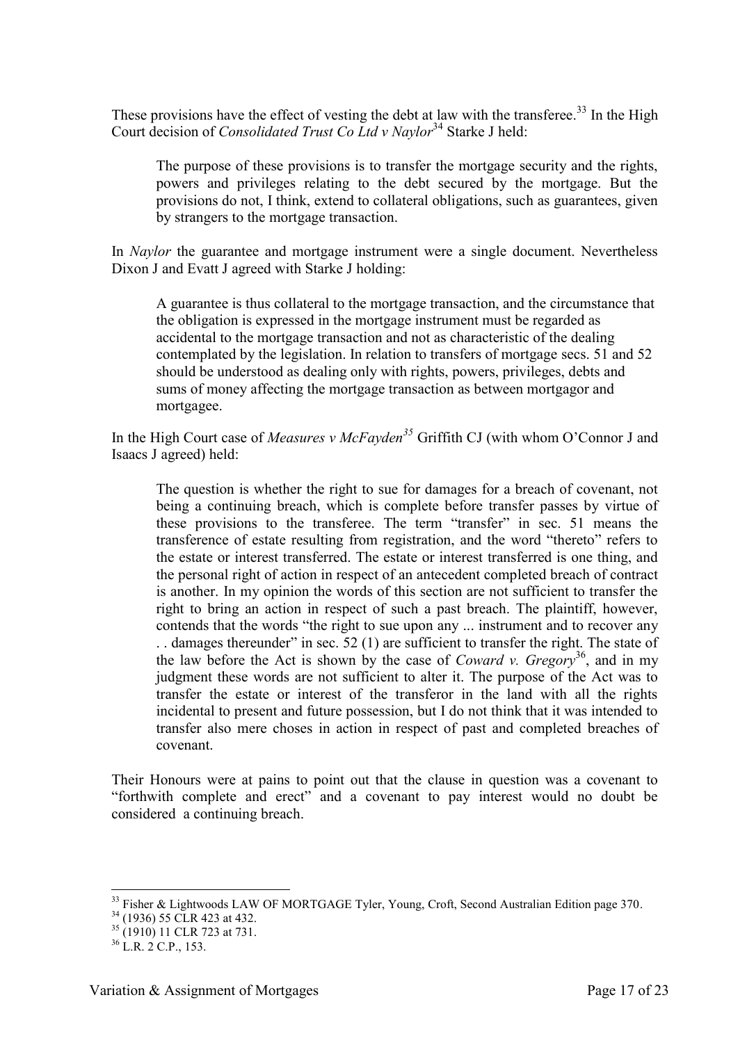These provisions have the effect of vesting the debt at law with the transferee.<sup>33</sup> In the High Court decision of *Consolidated Trust Co Ltd v Naylor*<sup>34</sup> Starke J held:

The purpose of these provisions is to transfer the mortgage security and the rights, powers and privileges relating to the debt secured by the mortgage. But the provisions do not, I think, extend to collateral obligations, such as guarantees, given by strangers to the mortgage transaction.

In *Naylor* the guarantee and mortgage instrument were a single document. Nevertheless Dixon J and Evatt J agreed with Starke J holding:

A guarantee is thus collateral to the mortgage transaction, and the circumstance that the obligation is expressed in the mortgage instrument must be regarded as accidental to the mortgage transaction and not as characteristic of the dealing contemplated by the legislation. In relation to transfers of mortgage secs. 51 and 52 should be understood as dealing only with rights, powers, privileges, debts and sums of money affecting the mortgage transaction as between mortgagor and mortgagee.

In the High Court case of *Measures v McFayden<sup>35</sup>* Griffith CJ (with whom O'Connor J and Isaacs J agreed) held:

The question is whether the right to sue for damages for a breach of covenant, not being a continuing breach, which is complete before transfer passes by virtue of these provisions to the transferee. The term "transfer" in sec. 51 means the transference of estate resulting from registration, and the word "thereto" refers to the estate or interest transferred. The estate or interest transferred is one thing, and the personal right of action in respect of an antecedent completed breach of contract is another. In my opinion the words of this section are not sufficient to transfer the right to bring an action in respect of such a past breach. The plaintiff, however, contends that the words "the right to sue upon any ... instrument and to recover any . . damages thereunder" in sec. 52 (1) are sufficient to transfer the right. The state of the law before the Act is shown by the case of *Coward v. Gregory*<sup>36</sup>, and in my judgment these words are not sufficient to alter it. The purpose of the Act was to transfer the estate or interest of the transferor in the land with all the rights incidental to present and future possession, but I do not think that it was intended to transfer also mere choses in action in respect of past and completed breaches of covenant.

Their Honours were at pains to point out that the clause in question was a covenant to "forthwith complete and erect" and a covenant to pay interest would no doubt be considered a continuing breach.

<sup>&</sup>lt;sup>33</sup> Fisher & Lightwoods LAW OF MORTGAGE Tyler, Young, Croft, Second Australian Edition page 370.

<sup>&</sup>lt;sup>34</sup> (1936) 55 CLR 423 at 432.

 $35$  (1910) 11 CLR 723 at 731.

 $36$  L.R. 2 C.P., 153.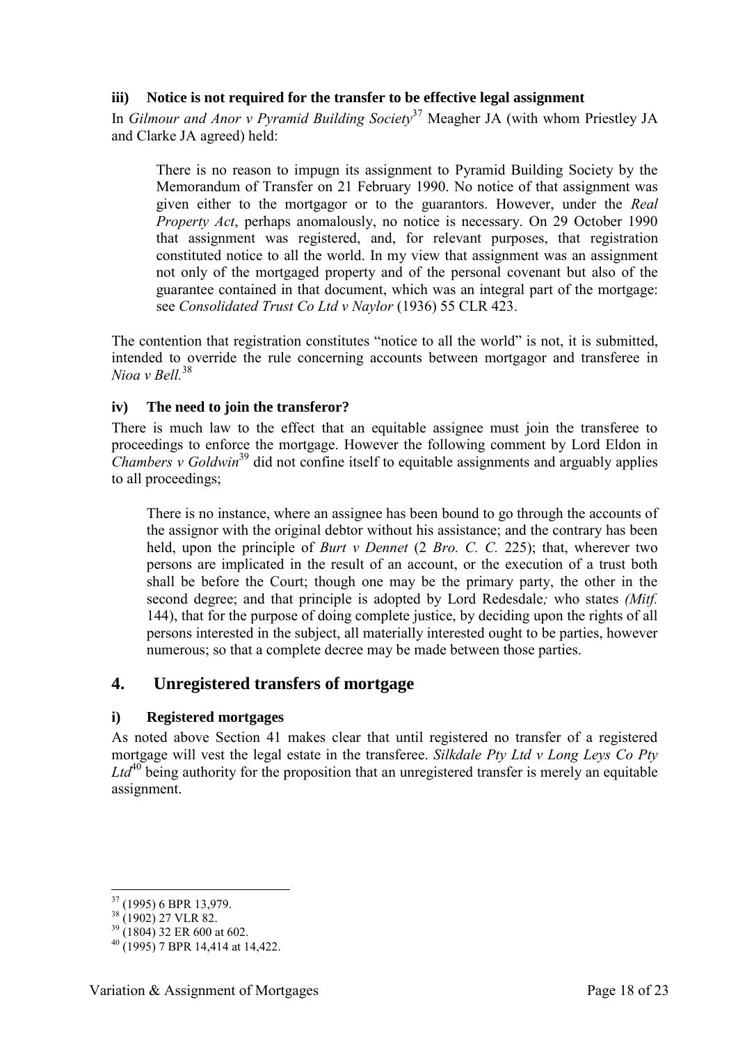## **iii) Notice is not required for the transfer to be effective legal assignment**

In *Gilmour and Anor v Pyramid Building Society*<sup>37</sup> Meagher JA (with whom Priestley JA and Clarke JA agreed) held:

There is no reason to impugn its assignment to Pyramid Building Society by the Memorandum of Transfer on 21 February 1990. No notice of that assignment was given either to the mortgagor or to the guarantors. However, under the *Real Property Act*, perhaps anomalously, no notice is necessary. On 29 October 1990 that assignment was registered, and, for relevant purposes, that registration constituted notice to all the world. In my view that assignment was an assignment not only of the mortgaged property and of the personal covenant but also of the guarantee contained in that document, which was an integral part of the mortgage: see *Consolidated Trust Co Ltd v Naylor* (1936) 55 CLR 423.

The contention that registration constitutes "notice to all the world" is not, it is submitted, intended to override the rule concerning accounts between mortgagor and transferee in *Nioa v Bell*<sup>38</sup>

#### **iv) The need to join the transferor?**

There is much law to the effect that an equitable assignee must join the transferee to proceedings to enforce the mortgage. However the following comment by Lord Eldon in *Chambers v Goldwin*<sup>39</sup> did not confine itself to equitable assignments and arguably applies to all proceedings;

There is no instance, where an assignee has been bound to go through the accounts of the assignor with the original debtor without his assistance; and the contrary has been held, upon the principle of *Burt v Dennet* (2 *Bro. C. C. 225*); that, wherever two persons are implicated in the result of an account, or the execution of a trust both shall be before the Court; though one may be the primary party, the other in the second degree; and that principle is adopted by Lord Redesdale*;* who states *(Mitf.*  144), that for the purpose of doing complete justice, by deciding upon the rights of all persons interested in the subject, all materially interested ought to be parties, however numerous; so that a complete decree may be made between those parties.

## **4. Unregistered transfers of mortgage**

#### **i) Registered mortgages**

As noted above Section 41 makes clear that until registered no transfer of a registered mortgage will vest the legal estate in the transferee. *Silkdale Pty Ltd v Long Leys Co Pty*   $Ltd^{40}$  being authority for the proposition that an unregistered transfer is merely an equitable assignment.

 $37(1995)$  6 BPR 13,979.

<sup>&</sup>lt;sup>38</sup> (1902) 27 VLR 82.

 $39$  (1804) 32 ER 600 at 602.

 $^{40}$  (1995) 7 BPR 14.414 at 14.422.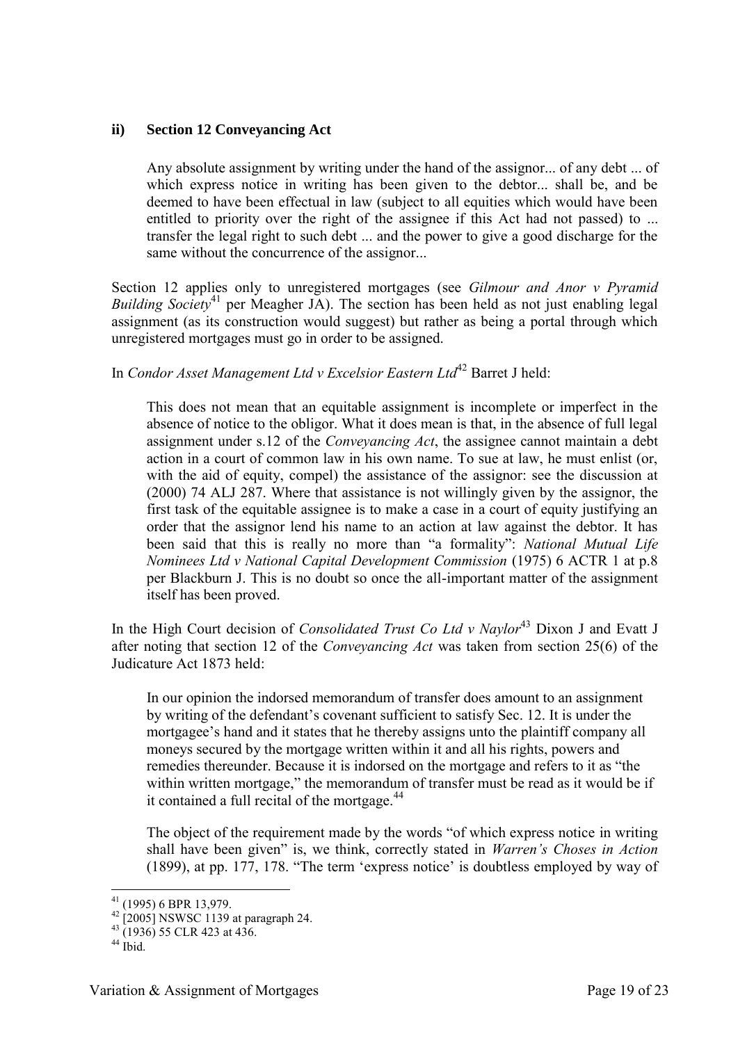#### **ii) Section 12 Conveyancing Act**

Any absolute assignment by writing under the hand of the assignor... of any debt ... of which express notice in writing has been given to the debtor... shall be, and be deemed to have been effectual in law (subject to all equities which would have been entitled to priority over the right of the assignee if this Act had not passed) to ... transfer the legal right to such debt ... and the power to give a good discharge for the same without the concurrence of the assignor...

Section 12 applies only to unregistered mortgages (see *Gilmour and Anor v Pyramid Building Society*<sup>41</sup> per Meagher JA). The section has been held as not just enabling legal assignment (as its construction would suggest) but rather as being a portal through which unregistered mortgages must go in order to be assigned.

In *Condor Asset Management Ltd v Excelsior Eastern Ltd*<sup>42</sup> Barret J held:

This does not mean that an equitable assignment is incomplete or imperfect in the absence of notice to the obligor. What it does mean is that, in the absence of full legal assignment under s.12 of the *Conveyancing Act*, the assignee cannot maintain a debt action in a court of common law in his own name. To sue at law, he must enlist (or, with the aid of equity, compel) the assistance of the assignor: see the discussion at (2000) 74 ALJ 287. Where that assistance is not willingly given by the assignor, the first task of the equitable assignee is to make a case in a court of equity justifying an order that the assignor lend his name to an action at law against the debtor. It has been said that this is really no more than "a formality": *National Mutual Life Nominees Ltd v National Capital Development Commission* (1975) 6 ACTR 1 at p.8 per Blackburn J. This is no doubt so once the all-important matter of the assignment itself has been proved.

In the High Court decision of *Consolidated Trust Co Ltd v Naylor*<sup>43</sup> Dixon J and Evatt J after noting that section 12 of the *Conveyancing Act* was taken from section 25(6) of the Judicature Act 1873 held:

In our opinion the indorsed memorandum of transfer does amount to an assignment by writing of the defendant's covenant sufficient to satisfy Sec. 12. It is under the mortgagee's hand and it states that he thereby assigns unto the plaintiff company all moneys secured by the mortgage written within it and all his rights, powers and remedies thereunder. Because it is indorsed on the mortgage and refers to it as "the within written mortgage," the memorandum of transfer must be read as it would be if it contained a full recital of the mortgage.<sup>44</sup>

The object of the requirement made by the words "of which express notice in writing shall have been given" is, we think, correctly stated in *Warren's Choses in Action* (1899), at pp. 177, 178. "The term 'express notice' is doubtless employed by way of

<sup>-</sup> $41$  (1995) 6 BPR 13,979.

 $^{42}$  [2005] NSWSC 1139 at paragraph 24.

 $^{43}$  (1936) 55 CLR 423 at 436.

 $44$  Ibid.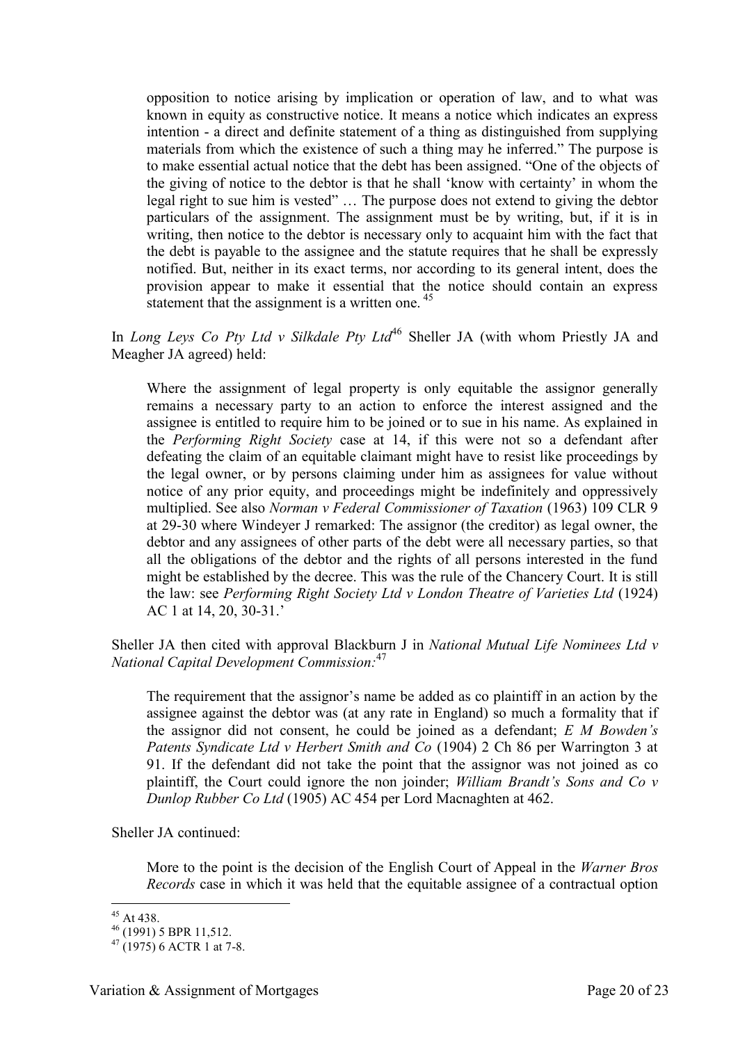opposition to notice arising by implication or operation of law, and to what was known in equity as constructive notice. It means a notice which indicates an express intention - a direct and definite statement of a thing as distinguished from supplying materials from which the existence of such a thing may he inferred." The purpose is to make essential actual notice that the debt has been assigned. "One of the objects of the giving of notice to the debtor is that he shall 'know with certainty' in whom the legal right to sue him is vested" … The purpose does not extend to giving the debtor particulars of the assignment. The assignment must be by writing, but, if it is in writing, then notice to the debtor is necessary only to acquaint him with the fact that the debt is payable to the assignee and the statute requires that he shall be expressly notified. But, neither in its exact terms, nor according to its general intent, does the provision appear to make it essential that the notice should contain an express statement that the assignment is a written one.<sup>45</sup>

In *Long Leys Co Pty Ltd v Silkdale Pty Ltd*<sup>46</sup> Sheller JA (with whom Priestly JA and Meagher JA agreed) held:

Where the assignment of legal property is only equitable the assignor generally remains a necessary party to an action to enforce the interest assigned and the assignee is entitled to require him to be joined or to sue in his name. As explained in the *Performing Right Society* case at 14, if this were not so a defendant after defeating the claim of an equitable claimant might have to resist like proceedings by the legal owner, or by persons claiming under him as assignees for value without notice of any prior equity, and proceedings might be indefinitely and oppressively multiplied. See also *Norman v Federal Commissioner of Taxation* (1963) 109 CLR 9 at 29-30 where Windeyer J remarked: The assignor (the creditor) as legal owner, the debtor and any assignees of other parts of the debt were all necessary parties, so that all the obligations of the debtor and the rights of all persons interested in the fund might be established by the decree. This was the rule of the Chancery Court. It is still the law: see *Performing Right Society Ltd v London Theatre of Varieties Ltd* (1924) AC 1 at 14, 20, 30-31.'

Sheller JA then cited with approval Blackburn J in *National Mutual Life Nominees Ltd v National Capital Development Commission:* 47

The requirement that the assignor's name be added as co plaintiff in an action by the assignee against the debtor was (at any rate in England) so much a formality that if the assignor did not consent, he could be joined as a defendant; *E M Bowden's Patents Syndicate Ltd v Herbert Smith and Co* (1904) 2 Ch 86 per Warrington 3 at 91. If the defendant did not take the point that the assignor was not joined as co plaintiff, the Court could ignore the non joinder; *William Brandt's Sons and Co v Dunlop Rubber Co Ltd* (1905) AC 454 per Lord Macnaghten at 462.

Sheller JA continued:

More to the point is the decision of the English Court of Appeal in the *Warner Bros Records* case in which it was held that the equitable assignee of a contractual option

 $45$  At 438.

<sup>46</sup> (1991) 5 BPR 11,512.

 $47(1975)$  6 ACTR 1 at 7-8.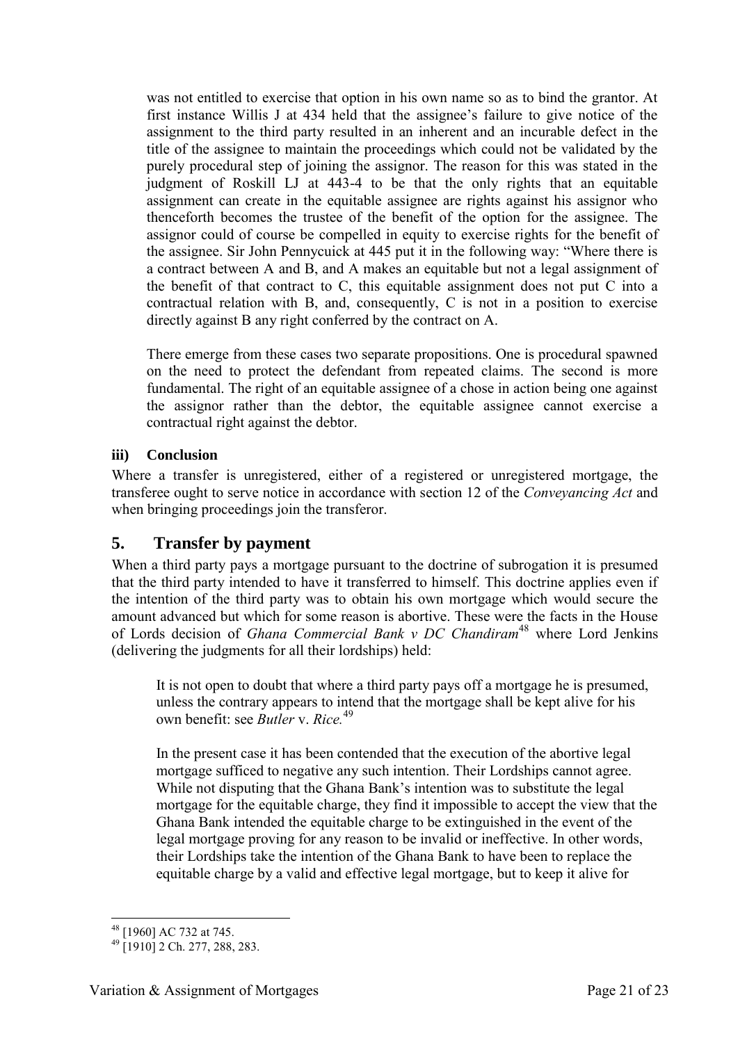was not entitled to exercise that option in his own name so as to bind the grantor. At first instance Willis J at 434 held that the assignee's failure to give notice of the assignment to the third party resulted in an inherent and an incurable defect in the title of the assignee to maintain the proceedings which could not be validated by the purely procedural step of joining the assignor. The reason for this was stated in the judgment of Roskill LJ at 443-4 to be that the only rights that an equitable assignment can create in the equitable assignee are rights against his assignor who thenceforth becomes the trustee of the benefit of the option for the assignee. The assignor could of course be compelled in equity to exercise rights for the benefit of the assignee. Sir John Pennycuick at 445 put it in the following way: "Where there is a contract between A and B, and A makes an equitable but not a legal assignment of the benefit of that contract to C, this equitable assignment does not put C into a contractual relation with B, and, consequently, C is not in a position to exercise directly against B any right conferred by the contract on A.

There emerge from these cases two separate propositions. One is procedural spawned on the need to protect the defendant from repeated claims. The second is more fundamental. The right of an equitable assignee of a chose in action being one against the assignor rather than the debtor, the equitable assignee cannot exercise a contractual right against the debtor.

## **iii) Conclusion**

Where a transfer is unregistered, either of a registered or unregistered mortgage, the transferee ought to serve notice in accordance with section 12 of the *Conveyancing Act* and when bringing proceedings join the transferor.

## **5. Transfer by payment**

When a third party pays a mortgage pursuant to the doctrine of subrogation it is presumed that the third party intended to have it transferred to himself. This doctrine applies even if the intention of the third party was to obtain his own mortgage which would secure the amount advanced but which for some reason is abortive. These were the facts in the House of Lords decision of *Ghana Commercial Bank v DC Chandiram*<sup>48</sup> where Lord Jenkins (delivering the judgments for all their lordships) held:

It is not open to doubt that where a third party pays off a mortgage he is presumed, unless the contrary appears to intend that the mortgage shall be kept alive for his own benefit: see *Butler* v. *Rice.*<sup>49</sup>

In the present case it has been contended that the execution of the abortive legal mortgage sufficed to negative any such intention. Their Lordships cannot agree. While not disputing that the Ghana Bank's intention was to substitute the legal mortgage for the equitable charge, they find it impossible to accept the view that the Ghana Bank intended the equitable charge to be extinguished in the event of the legal mortgage proving for any reason to be invalid or ineffective. In other words, their Lordships take the intention of the Ghana Bank to have been to replace the equitable charge by a valid and effective legal mortgage, but to keep it alive for

<sup>-</sup><sup>48</sup> [1960] AC 732 at 745.

 $^{49}$  [1910] 2 Ch. 277, 288, 283.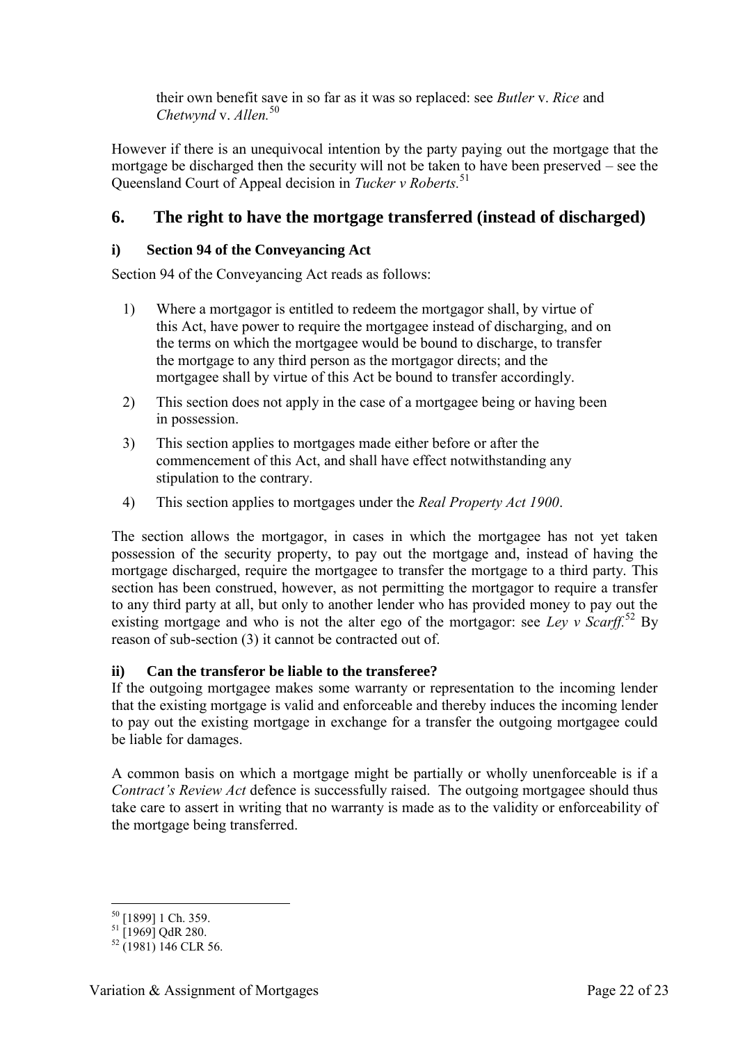their own benefit save in so far as it was so replaced: see *Butler* v. *Rice* and *Chetwynd* v. *Allen.*<sup>50</sup>

However if there is an unequivocal intention by the party paying out the mortgage that the mortgage be discharged then the security will not be taken to have been preserved – see the Queensland Court of Appeal decision in *Tucker v Roberts.*<sup>51</sup>

## **6. The right to have the mortgage transferred (instead of discharged)**

## **i) Section 94 of the Conveyancing Act**

Section 94 of the Conveyancing Act reads as follows:

- 1) Where a mortgagor is entitled to redeem the mortgagor shall, by virtue of this Act, have power to require the mortgagee instead of discharging, and on the terms on which the mortgagee would be bound to discharge, to transfer the mortgage to any third person as the mortgagor directs; and the mortgagee shall by virtue of this Act be bound to transfer accordingly.
- 2) This section does not apply in the case of a mortgagee being or having been in possession.
- 3) This section applies to mortgages made either before or after the commencement of this Act, and shall have effect notwithstanding any stipulation to the contrary.
- 4) This section applies to mortgages under the *Real Property Act 1900*.

The section allows the mortgagor, in cases in which the mortgagee has not yet taken possession of the security property, to pay out the mortgage and, instead of having the mortgage discharged, require the mortgagee to transfer the mortgage to a third party. This section has been construed, however, as not permitting the mortgagor to require a transfer to any third party at all, but only to another lender who has provided money to pay out the existing mortgage and who is not the alter ego of the mortgagor: see *Ley v Scarff.*<sup>52</sup> By reason of sub-section (3) it cannot be contracted out of.

## **ii) Can the transferor be liable to the transferee?**

If the outgoing mortgagee makes some warranty or representation to the incoming lender that the existing mortgage is valid and enforceable and thereby induces the incoming lender to pay out the existing mortgage in exchange for a transfer the outgoing mortgagee could be liable for damages.

A common basis on which a mortgage might be partially or wholly unenforceable is if a *Contract's Review Act* defence is successfully raised. The outgoing mortgagee should thus take care to assert in writing that no warranty is made as to the validity or enforceability of the mortgage being transferred.

<sup>-</sup><sup>50</sup> [1899] 1 Ch. 359.

 $^{51}$  [1969] QdR 280.

 $52$  (1981) 146 CLR 56.